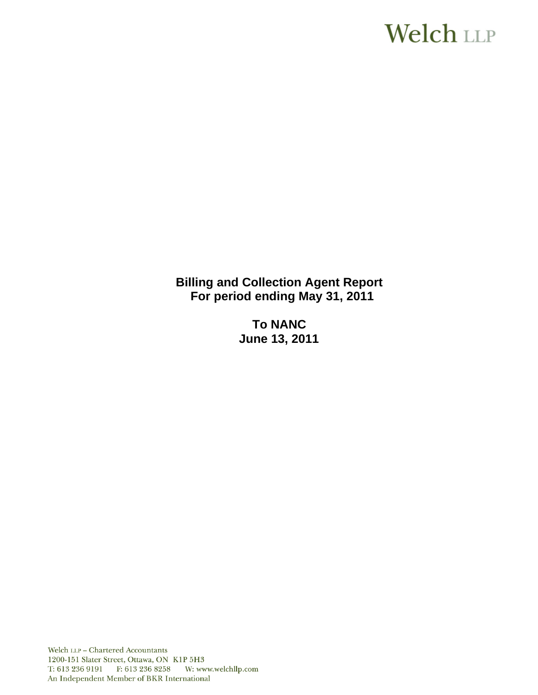# **Welch LLP**

**Billing and Collection Agent Report For period ending May 31, 2011** 

> **To NANC June 13, 2011**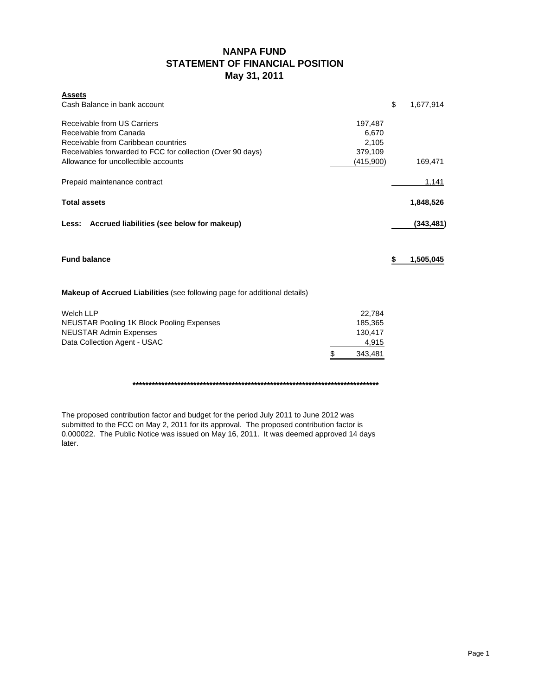# **NANPA FUND STATEMENT OF FINANCIAL POSITION May 31, 2011**

| <b>Assets</b>                                                             |               |                 |
|---------------------------------------------------------------------------|---------------|-----------------|
| Cash Balance in bank account                                              |               | \$<br>1,677,914 |
| Receivable from US Carriers                                               | 197,487       |                 |
| Receivable from Canada                                                    | 6,670         |                 |
| Receivable from Caribbean countries                                       | 2,105         |                 |
| Receivables forwarded to FCC for collection (Over 90 days)                | 379,109       |                 |
| Allowance for uncollectible accounts                                      | (415,900)     | 169,471         |
| Prepaid maintenance contract                                              |               | 1,141           |
| <b>Total assets</b>                                                       |               | 1,848,526       |
| Accrued liabilities (see below for makeup)<br>Less:                       |               | (343,481)       |
| <b>Fund balance</b>                                                       |               | \$<br>1,505,045 |
| Makeup of Accrued Liabilities (see following page for additional details) |               |                 |
| <b>Welch LLP</b>                                                          | 22,784        |                 |
| NEUSTAR Pooling 1K Block Pooling Expenses                                 | 185,365       |                 |
| <b>NEUSTAR Admin Expenses</b>                                             | 130,417       |                 |
| Data Collection Agent - USAC                                              | 4,915         |                 |
|                                                                           | \$<br>343,481 |                 |

### **\*\*\*\*\*\*\*\*\*\*\*\*\*\*\*\*\*\*\*\*\*\*\*\*\*\*\*\*\*\*\*\*\*\*\*\*\*\*\*\*\*\*\*\*\*\*\*\*\*\*\*\*\*\*\*\*\*\*\*\*\*\*\*\*\*\*\*\*\*\*\*\*\*\*\*\*\***

The proposed contribution factor and budget for the period July 2011 to June 2012 was submitted to the FCC on May 2, 2011 for its approval. The proposed contribution factor is 0.000022. The Public Notice was issued on May 16, 2011. It was deemed approved 14 days later.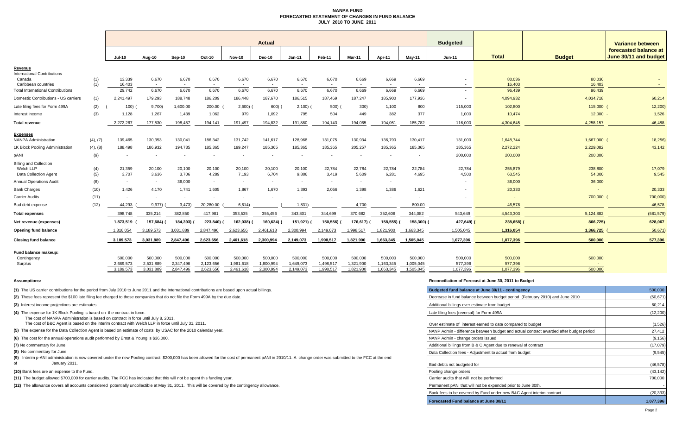### **NANPA FUND FORECASTED STATEMENT OF CHANGES IN FUND BALANCEJULY 2010 TO JUNE 2011**

|                                                                            |            | <b>Actual</b><br><b>Budgeted</b> |                          |                          |                      |                          |                      |                          |                          |                                   |                          |                                   |                          |                    |                   | <b>Variance between</b>                        |  |
|----------------------------------------------------------------------------|------------|----------------------------------|--------------------------|--------------------------|----------------------|--------------------------|----------------------|--------------------------|--------------------------|-----------------------------------|--------------------------|-----------------------------------|--------------------------|--------------------|-------------------|------------------------------------------------|--|
|                                                                            |            | <b>Jul-10</b>                    | Aug-10                   | Sep-10                   | Oct-10               | <b>Nov-10</b>            | <b>Dec-10</b>        | $Jan-11$                 | Feb-11                   | Mar-11                            | Apr-11                   | <b>Mav-11</b>                     | <b>Jun-11</b>            | <b>Total</b>       | <b>Budget</b>     | forecasted balance at<br>June 30/11 and budget |  |
| Revenue                                                                    |            |                                  |                          |                          |                      |                          |                      |                          |                          |                                   |                          |                                   |                          |                    |                   |                                                |  |
| nternational Contributions<br>Canada<br>Caribbean countries                | (1)<br>(1) | 13,339<br>16,403                 | 6,670<br>$\sim$          | 6,670                    | 6,670                | 6,670<br>$\sim$          | 6,670                | 6,670                    | 6,670<br>$\sim$          | 6,669<br>$\overline{\phantom{a}}$ | 6,669<br>$\sim$          | 6,669<br>$\overline{\phantom{a}}$ |                          | 80,036<br>16,403   | 80,036<br>16,403  |                                                |  |
| <b>Total International Contributions</b>                                   |            | 29,742                           | 6,670                    | 6,670                    | 6,670                | 6,670                    | 6,670                | 6,670                    | 6,670                    | 6,669                             | 6,669                    | 6,669                             | $\overline{\phantom{a}}$ | 96,439             | 96,439            |                                                |  |
| Domestic Contributions - US carriers                                       | (1)        | 2,241,497                        | 179,293                  | 188,748                  | 186,209              | 186,448                  | 187,670              | 186,515                  | 187,469                  | 187,247                           | 185,900                  | 177,936                           | $\overline{\phantom{a}}$ | 4,094,932          | 4,034,718         | 60,214                                         |  |
| Late filing fees for Form 499A                                             | (2)        | 100)                             | 9,700                    | 1,600.00                 | 200.00               | 2,600                    | 600)                 | $2,100)$ (               | 500)                     | 300)                              | 1,100                    | 800                               | 115,000                  | 102,800            | 115,000           | 12,200                                         |  |
| Interest income                                                            | (3)        | 1,128                            | 1,267                    | 1,439                    | 1,062                | 979                      | 1,092                | 795                      | 504                      | 449                               | 382                      | 377                               | 1,000                    | 10,474             | 12,000            | 1,526                                          |  |
| <b>Total revenue</b>                                                       |            | 2,272,267                        | 177,530                  | 198,457                  | 194,141              | 191,497                  | 194,832              | 191,880                  | 194,143                  | 194,065                           | 194.051                  | 185,782                           | 116,000                  | 4,304,645          | 4,258,157         | 46,488                                         |  |
| Expenses                                                                   |            |                                  |                          |                          |                      |                          |                      |                          |                          |                                   |                          |                                   |                          |                    |                   |                                                |  |
| <b>NANPA Administration</b>                                                | (4), (7)   | 139,465                          | 130,353                  | 130,041                  | 186,342              | 131,742                  | 141,617              | 128,968                  | 131,075                  | 130,934                           | 136,790                  | 130,417                           | 131,000                  | 1,648,744          | 1,667,000         | 18,256)                                        |  |
| 1K Block Pooling Administration                                            | (4), (8)   | 188,498                          | 186,932                  | 194,735                  | 185,365              | 199,247                  | 185,365              | 185,365                  | 185,365                  | 205,257                           | 185,365                  | 185,365                           | 185,365                  | 2,272,224          | 2,229,082         | 43,142                                         |  |
| <b>DANI</b>                                                                | (9)        |                                  | $\overline{\phantom{a}}$ | $\overline{\phantom{a}}$ |                      | $\overline{\phantom{a}}$ | $\sim$               |                          | $\overline{\phantom{a}}$ | $\overline{\phantom{a}}$          | $\overline{\phantom{a}}$ | $\overline{\phantom{a}}$          | 200,000                  | 200,000            | 200,000           |                                                |  |
| <b>Billing and Collection</b><br>Welch LLP<br><b>Data Collection Agent</b> | (4)<br>(5) | 21,359<br>3,707                  | 20,100<br>3,636          | 20,100<br>3,706          | 20,100<br>4,289      | 20,100<br>7,193          | 20,100<br>6,704      | 20,100<br>9,806          | 22,784<br>3,419          | 22,784<br>5,609                   | 22,784<br>6,281          | 22,784<br>4,695                   | 22,784<br>4,500          | 255,879<br>63,545  | 238,800<br>54,000 | 17,079<br>9,545                                |  |
| <b>Annual Operations Audit</b>                                             | (6)        | $\sim$                           | $\sim$                   | 36,000                   | $\sim$               | $\sim$                   | $\sim$               | $\overline{\phantom{a}}$ | $\sim$                   | $\overline{\phantom{a}}$          | $\sim$                   |                                   |                          | 36,000             | 36,000            |                                                |  |
| <b>Bank Charges</b>                                                        | (10)       | 1,426                            | 4,170                    | 1,741                    | 1,605                | 1,867                    | 1,670                | 1,393                    | 2,056                    | 1,398                             | 1.386                    | 1,621                             |                          | 20,333             | $\overline{a}$    | 20,333                                         |  |
| <b>Carrier Audits</b>                                                      | (11)       |                                  | $\overline{\phantom{a}}$ | $\overline{\phantom{a}}$ |                      | $\overline{\phantom{a}}$ |                      | $\overline{\phantom{a}}$ | $\overline{\phantom{a}}$ |                                   |                          |                                   |                          |                    | 700,000           | 700,000)                                       |  |
| Bad debt expense                                                           | (12)       | 44,293                           | 9,977)                   | 3,473                    | 20,280.00            | 6,614)                   |                      | 1,831)                   | $\sim$                   | 4,700                             |                          | 800.00                            | $\overline{\phantom{a}}$ | 46,578             |                   | 46,578                                         |  |
| <b>Total expenses</b>                                                      |            | 398,748                          | 335,214                  | 382,850                  | 417,981              | 353,535                  | 355,456              | 343,801                  | 344,699                  | 370,682                           | 352,606                  | 344,082                           | 543,649                  | 4,543,303          | 5,124,882         | (581, 579)                                     |  |
| Net revenue (expenses)                                                     |            | 1,873,519                        | 157,684) (               | 184,393)                 | 223,840)             | 162,038)                 | 160,624)             | 151,921                  | 150,556)                 | 176,617)                          | 158,555)                 | 158,300)                          | 427,649)                 | 238,658)           | 866,725)          | 628,067                                        |  |
| <b>Opening fund balance</b>                                                |            | 1,316,054                        | 3,189,573                | 3,031,889                | 2,847,496            | 2,623,656                | 2,461,618            | 2,300,994                | 2,149,073                | 1,998,517                         | 1,821,900                | 1,663,345                         | 1,505,045                | 1,316,054          | 1,366,725         | 50,671                                         |  |
| <b>Closing fund balance</b>                                                |            | 3,189,573                        | 3,031,889                | 2,847,496                | 2,623,656            | 2,461,618                | 2,300,994            | 2,149,073                | 1,998,517                | 1,821,900                         | 1,663,345                | 1,505,045                         | 1,077,396                | 1,077,396          | 500,000           | 577,396                                        |  |
| Fund balance makeup:<br>Contingency<br>Surplus                             |            | 500,000<br>2,689,573             | 500,000<br>2,531,889     | 500,000<br>2,347,496     | 500,000<br>2,123,656 | 500,000<br>1,961,618     | 500,000<br>1,800,994 | 500,000<br>1,649,073     | 500,000<br>1,498,517     | 500,000<br>1,321,900              | 500,000<br>1,163,345     | 500,000<br>1,005,045              | 500,000<br>577,396       | 500,000<br>577,396 | 500,000           |                                                |  |
|                                                                            |            | 3,189,573                        | 3,031,889                | 2,847,496                | 2,623,656            | 2,461,618                | 2,300,994            | 2,149,073                | 1,998,517                | 1.821.900                         | 1.663.345                | 1.505.045                         | 1,077,396                | 1.077.396          | 500,000           |                                                |  |

### **(10)** Bank fees are an expense to the Fund.

### **Assumptions: Reconciliation of Forecast at June 30, 2011 to Budget**

| (1) The US carrier contributions for the period from July 2010 to June 2011 and the International contributions are based upon actual billings.                                                                           | Budgeted fund balance at June 30/11 - contingency                                      | 500,000   |
|---------------------------------------------------------------------------------------------------------------------------------------------------------------------------------------------------------------------------|----------------------------------------------------------------------------------------|-----------|
| (2) These fees represent the \$100 late filing fee charged to those companies that do not file the Form 499A by the due date.                                                                                             | Decrease in fund balance between budget period (February 2010) and June 2010           | (50, 671) |
| (3) Interest income projections are estimates                                                                                                                                                                             | Additional billings over estimate from budget                                          | 60,214    |
| (4) The expense for 1K Block Pooling is based on the contract in force.                                                                                                                                                   | Late filing fees (reversal) for Form 499A                                              | (12, 200) |
| The cost of NANPA Administration is based on contract in force until July 8, 2011.<br>The cost of B&C Agent is based on the interim contract with Welch LLP in force until July 31, 2011.                                 | Over estimate of interest earned to date compared to budget                            | (1,526)   |
| (5) The expense for the Data Collection Agent is based on estimate of costs by USAC for the 2010 calendar year.                                                                                                           | NANP Admin - difference between budget and actual contract awarded after budget period | 27,412    |
| (6) The cost for the annual operations audit performed by Ernst & Young is \$36,000.                                                                                                                                      | NANP Admin - change orders issued                                                      | (9, 156)  |
| (7) No commentary for June                                                                                                                                                                                                | Additional billings from B & C Agent due to renewal of contract                        | (17,079)  |
| (8) No commentary for June                                                                                                                                                                                                | Data Collection fees - Adiustment to actual from budget                                | (9, 545)  |
| (9) Interim p-ANI administration is now covered under the new Pooling contract. \$200,000 has been allowed for the cost of permanent pANI in 2010/11. A change order was submitted to the FCC at the end<br>January 2011. |                                                                                        |           |
|                                                                                                                                                                                                                           | Bad debts not budgeted for                                                             | (46, 578) |
| (10) Bank fees are an expense to the Fund.                                                                                                                                                                                | Pooling change orders                                                                  | (43, 142) |
| (11) The budget allowed \$700,000 for carrier audits. The FCC has indicated that this will not be spent this funding year.                                                                                                | Carrier audits that will not be performed                                              | 700,000   |
| (12) The allowance covers all accounts considered potentially uncollectible at May 31, 2011. This will be covered by the contingency allowance.                                                                           | Permanent pANi that will not be expended prior to June 30th.                           |           |
|                                                                                                                                                                                                                           | Bank fees to be covered by Fund under new B&C Agent interim contract                   | (20, 333) |
|                                                                                                                                                                                                                           | Forecasted Fund balance at June 30/11                                                  | 1,077,396 |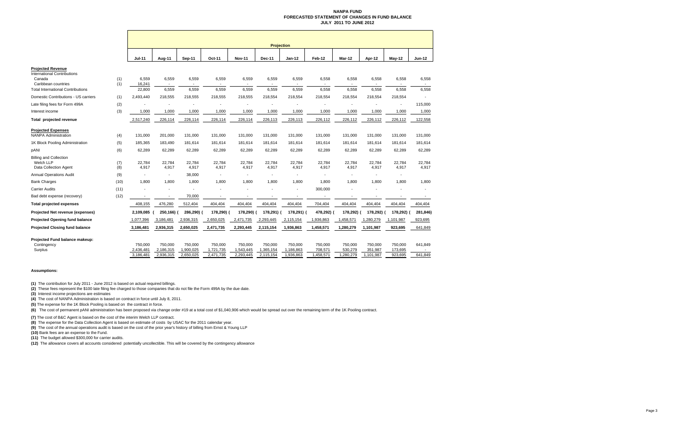### **NANPA FUND FORECASTED STATEMENT OF CHANGES IN FUND BALANCEJULY 2011 TO JUNE 2012**

|                                                                                                                                             |            | <b>Projection</b>         |                          |                                  |                          |                 |                 |                                  |                 |                          |                 |                 |                          |
|---------------------------------------------------------------------------------------------------------------------------------------------|------------|---------------------------|--------------------------|----------------------------------|--------------------------|-----------------|-----------------|----------------------------------|-----------------|--------------------------|-----------------|-----------------|--------------------------|
|                                                                                                                                             |            | <b>Jul-11</b>             | Aug-11                   | <b>Sep-11</b>                    | Oct-11                   | <b>Nov-11</b>   | <b>Dec-11</b>   | <b>Jan-12</b>                    | Feb-12          | Mar-12                   | Apr-12          | <b>May-12</b>   | <b>Jun-12</b>            |
| <b>Projected Revenue</b><br><b>International Contributions</b><br>Canada<br>Caribbean countries<br><b>Total International Contributions</b> | (1)<br>(1) | 6,559<br>16,241<br>22,800 | 6,559<br>$\sim$<br>6,559 | 6,559<br>$\overline{a}$<br>6,559 | 6,559<br>$\sim$<br>6,559 | 6,559<br>6,559  | 6,559<br>6,559  | 6,559<br>$\blacksquare$<br>6,559 | 6,558<br>6,558  | 6,558<br>$\sim$<br>6,558 | 6,558<br>6,558  | 6,558<br>6,558  | 6,558<br>$\sim$<br>6,558 |
| Domestic Contributions - US carriers                                                                                                        | (1)        | 2,493,440                 | 218,555                  | 218,555                          | 218,555                  | 218,555         | 218,554         | 218,554                          | 218,554         | 218,554                  | 218,554         | 218,554         |                          |
| Late filing fees for Form 499A                                                                                                              | (2)        |                           |                          |                                  |                          |                 |                 |                                  |                 |                          |                 | ٠               | 115,000                  |
| Interest income                                                                                                                             | (3)        | 1,000                     | 1,000                    | 1,000                            | 1,000                    | 1,000           | 1,000           | 1,000                            | 1,000           | 1,000                    | 1,000           | 1,000           | 1,000                    |
| Total projected revenue                                                                                                                     |            | 2,517,240                 | 226,114                  | 226,114                          | 226,114                  | 226,114         | 226,113         | 226,113                          | 226,112         | 226,112                  | 226,112         | 226,112         | 122,558                  |
| <b>Projected Expenses</b><br><b>NANPA Administration</b>                                                                                    | (4)        | 131,000                   | 201,000                  | 131,000                          | 131,000                  | 131,000         | 131,000         | 131,000                          | 131,000         | 131,000                  | 131,000         | 131,000         | 131,000                  |
| 1K Block Pooling Administration                                                                                                             | (5)        | 185,365                   | 183,490                  | 181,614                          | 181,614                  | 181,614         | 181,614         | 181,614                          | 181,614         | 181,614                  | 181,614         | 181,614         | 181,614                  |
| pANI                                                                                                                                        | (6)        | 62,289                    | 62,289                   | 62,289                           | 62,289                   | 62,289          | 62,289          | 62,289                           | 62,289          | 62,289                   | 62,289          | 62,289          | 62,289                   |
| <b>Billing and Collection</b><br>Welch LLP<br>Data Collection Agent                                                                         | (7)<br>(8) | 22,784<br>4,917           | 22,784<br>4,917          | 22,784<br>4,917                  | 22,784<br>4,917          | 22,784<br>4,917 | 22,784<br>4,917 | 22,784<br>4,917                  | 22,784<br>4,917 | 22,784<br>4,917          | 22,784<br>4,917 | 22,784<br>4,917 | 22,784<br>4,917          |
| <b>Annual Operations Audit</b>                                                                                                              | (9)        | $\overline{\phantom{a}}$  | $\overline{\phantom{a}}$ | 38,000                           |                          |                 |                 | $\blacksquare$                   |                 | $\overline{\phantom{a}}$ |                 |                 |                          |
| <b>Bank Charges</b>                                                                                                                         | (10)       | 1,800                     | 1,800                    | 1,800                            | 1,800                    | 1,800           | 1,800           | 1,800                            | 1,800           | 1,800                    | 1,800           | 1,800           | 1,800                    |
| <b>Carrier Audits</b>                                                                                                                       | (11)       |                           |                          |                                  |                          |                 |                 | ٠                                | 300,000         |                          |                 |                 |                          |
| Bad debt expense (recovery)                                                                                                                 | (12)       |                           |                          | 70,000                           |                          |                 |                 |                                  | ٠               |                          |                 |                 |                          |
| <b>Total projected expenses</b>                                                                                                             |            | 408,155                   | 476,280                  | 512,404                          | 404,404                  | 404,404         | 404,404         | 404,404                          | 704,404         | 404,404                  | 404,404         | 404,404         | 404,404                  |
| Projected Net revenue (expenses)                                                                                                            |            | 2,109,085                 | 250,166) (               | 286,290) (                       | 178,290) (               | 178,290)        | 178,291)        | 178,291) (                       | 478,292)        | 178,292)                 | 178,292) (      | 178,292)        | 281,846)                 |
| <b>Projected Opening fund balance</b>                                                                                                       |            | 1,077,396                 | 3,186,481                | 2,936,315                        | 2,650,025                | 2,471,735       | 2,293,445       | 2,115,154                        | 1,936,863       | 1,458,571                | 1,280,279       | 1,101,987       | 923,695                  |
| <b>Projected Closing fund balance</b>                                                                                                       |            | 3,186,481                 | 2,936,315                | 2,650,025                        | 2,471,735                | 2,293,445       | 2,115,154       | 1,936,863                        | 1,458,571       | 1,280,279                | 1,101,987       | 923,695         | 641,849                  |
| Projected Fund balance makeup:<br>Contingency                                                                                               |            | 750,000                   | 750,000                  | 750,000                          | 750.000                  | 750,000         | 750,000         | 750,000                          | 750,000         | 750,000                  | 750,000         | 750,000         | 641,849                  |
| Surplus                                                                                                                                     |            | 2,436,481                 | 2,186,315                | 1,900,025                        | 1,721,735                | 1,543,445       | 1,365,154       | 1,186,863                        | 708,571         | 530,279                  | 351,987         | 173,695         |                          |
|                                                                                                                                             |            | 3.186.481                 | 2,936,315                | 2.650.025                        | 2,471,735                | 2.293.445       | 2,115,154       | 1.936.863                        | 1,458,571       | ,280,279                 | 1,101,987       | 923.695         | 641.849                  |

### **Assumptions:**

**(1)** The contribution for July 2011 - June 2012 is based on actual required billings.

**(2)** These fees represent the \$100 late filing fee charged to those companies that do not file the Form 499A by the due date.

**(3)** Interest income projections are estimates

**(4)** The cost of NANPA Administration is based on contract in force until July 8, 2011.

**(5)** The expense for the 1K Block Pooling is based on the contract in force.

<sup>(6)</sup> The cost of permanent pANI administration has been proposed via change order #19 at a total cost of \$1,040,906 which would be spread out over the remaining term of the 1K Pooling contract.

**(7)** The cost of B&C Agent is based on the cost of the interim Welch LLP contract.

**(8)** The expense for the Data Collection Agent is based on estimate of costs by USAC for the 2011 calendar year.

**(9)** The cost of the annual operations audit is based on the cost of the prior year's history of billing from Ernst & Young LLP

**(10)** Bank fees are an expense to the Fund.

**(11)** The budget allowed \$300,000 for carrier audits.

**(12)** The allowance covers all accounts considered potentially uncollectible. This will be covered by the contingency allowance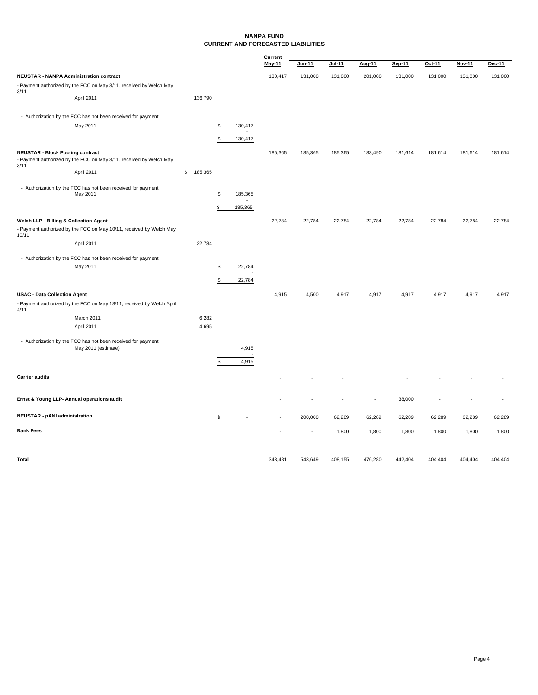### **NANPA FUND CURRENT AND FORECASTED LIABILITIES**

|                                         |                                                                                     |               |                         | Current       |                          |         |         |         |         |         |         |
|-----------------------------------------|-------------------------------------------------------------------------------------|---------------|-------------------------|---------------|--------------------------|---------|---------|---------|---------|---------|---------|
|                                         |                                                                                     |               |                         | <b>May-11</b> | Jun-11                   | Jul-11  | Aug-11  | Sep-11  | Oct-11  | Nov-11  | Dec-11  |
|                                         | <b>NEUSTAR - NANPA Administration contract</b>                                      |               |                         | 130,417       | 131,000                  | 131,000 | 201,000 | 131,000 | 131,000 | 131,000 | 131,000 |
|                                         | - Payment authorized by the FCC on May 3/11, received by Welch May                  |               |                         |               |                          |         |         |         |         |         |         |
| 3/11                                    | April 2011                                                                          | 136,790       |                         |               |                          |         |         |         |         |         |         |
|                                         | - Authorization by the FCC has not been received for payment                        |               |                         |               |                          |         |         |         |         |         |         |
|                                         | May 2011                                                                            |               | \$<br>130,417<br>$\sim$ |               |                          |         |         |         |         |         |         |
|                                         |                                                                                     |               | \$<br>130,417           |               |                          |         |         |         |         |         |         |
| <b>NEUSTAR - Block Pooling contract</b> |                                                                                     |               |                         | 185,365       | 185,365                  | 185,365 | 183,490 | 181,614 | 181,614 | 181,614 | 181,614 |
| 3/11                                    | - Payment authorized by the FCC on May 3/11, received by Welch May                  |               |                         |               |                          |         |         |         |         |         |         |
|                                         | April 2011                                                                          | \$<br>185,365 |                         |               |                          |         |         |         |         |         |         |
|                                         | - Authorization by the FCC has not been received for payment                        |               |                         |               |                          |         |         |         |         |         |         |
|                                         | May 2011                                                                            |               | \$<br>185,365           |               |                          |         |         |         |         |         |         |
|                                         |                                                                                     |               | \$<br>185,365           |               |                          |         |         |         |         |         |         |
| Welch LLP - Billing & Collection Agent  |                                                                                     |               |                         | 22,784        | 22,784                   | 22,784  | 22,784  | 22,784  | 22,784  | 22,784  | 22,784  |
| 10/11                                   | - Payment authorized by the FCC on May 10/11, received by Welch May                 |               |                         |               |                          |         |         |         |         |         |         |
|                                         | April 2011                                                                          | 22,784        |                         |               |                          |         |         |         |         |         |         |
|                                         | - Authorization by the FCC has not been received for payment                        |               |                         |               |                          |         |         |         |         |         |         |
|                                         | May 2011                                                                            |               | \$<br>22,784            |               |                          |         |         |         |         |         |         |
|                                         |                                                                                     |               | \$<br>22,784            |               |                          |         |         |         |         |         |         |
|                                         |                                                                                     |               |                         |               |                          |         |         |         |         |         |         |
| <b>USAC - Data Collection Agent</b>     | - Payment authorized by the FCC on May 18/11, received by Welch April               |               |                         | 4,915         | 4,500                    | 4,917   | 4,917   | 4,917   | 4,917   | 4,917   | 4,917   |
| 4/11                                    | March 2011                                                                          | 6,282         |                         |               |                          |         |         |         |         |         |         |
|                                         | April 2011                                                                          | 4,695         |                         |               |                          |         |         |         |         |         |         |
|                                         |                                                                                     |               |                         |               |                          |         |         |         |         |         |         |
|                                         | - Authorization by the FCC has not been received for payment<br>May 2011 (estimate) |               | 4,915                   |               |                          |         |         |         |         |         |         |
|                                         |                                                                                     |               | 4,915                   |               |                          |         |         |         |         |         |         |
|                                         |                                                                                     |               | \$                      |               |                          |         |         |         |         |         |         |
| <b>Carrier audits</b>                   |                                                                                     |               |                         |               |                          |         |         |         |         |         |         |
|                                         | Ernst & Young LLP- Annual operations audit                                          |               |                         |               |                          |         | ä,      | 38,000  |         |         |         |
| <b>NEUSTAR - pANI administration</b>    |                                                                                     |               | \$<br>$\sim$            |               | 200,000                  | 62,289  | 62,289  | 62,289  | 62,289  | 62,289  | 62,289  |
| <b>Bank Fees</b>                        |                                                                                     |               |                         |               | $\overline{\phantom{a}}$ | 1,800   | 1,800   | 1,800   | 1,800   | 1,800   | 1,800   |
|                                         |                                                                                     |               |                         |               |                          |         |         |         |         |         |         |
|                                         |                                                                                     |               |                         |               |                          |         |         |         |         |         |         |

**Total** 543,649 343,481 408,155 476,280 442,404 404,404 404,404 404,404